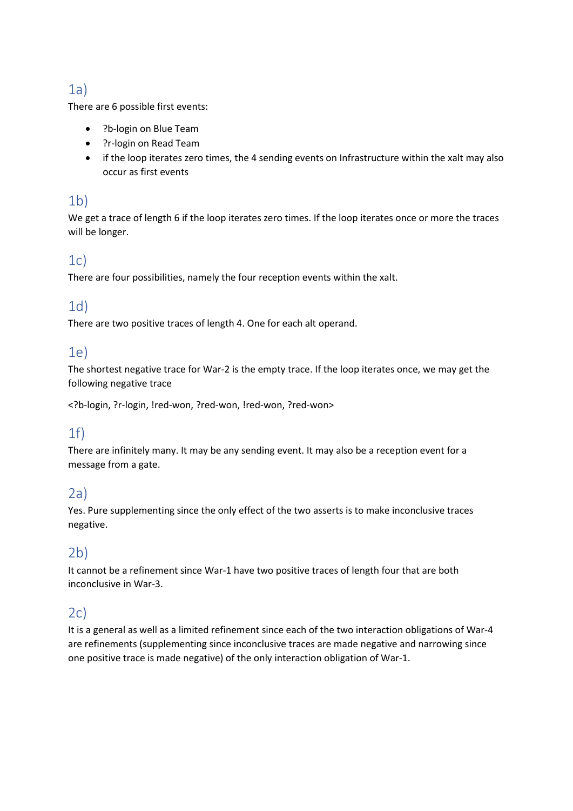# 1a)

There are 6 possible first events:

- ?b-login on Blue Team
- ?r-login on Read Team
- if the loop iterates zero times, the 4 sending events on Infrastructure within the xalt may also occur as first events

#### 1b)

We get a trace of length 6 if the loop iterates zero times. If the loop iterates once or more the traces will be longer.

## $1c)$

There are four possibilities, namely the four reception events within the xalt.

## 1d)

There are two positive traces of length 4. One for each alt operand.

#### 1e)

The shortest negative trace for War-2 is the empty trace. If the loop iterates once, we may get the following negative trace

<?b-login, ?r-login, !red-won, ?red-won, !red-won, ?red-won>

## 1f)

There are infinitely many. It may be any sending event. It may also be a reception event for a message from a gate.

#### 2a)

Yes. Pure supplementing since the only effect of the two asserts is to make inconclusive traces negative.

## 2b)

It cannot be a refinement since War-1 have two positive traces of length four that are both inconclusive in War-3.

# 2c)

It is a general as well as a limited refinement since each of the two interaction obligations of War-4 are refinements (supplementing since inconclusive traces are made negative and narrowing since one positive trace is made negative) of the only interaction obligation of War-1.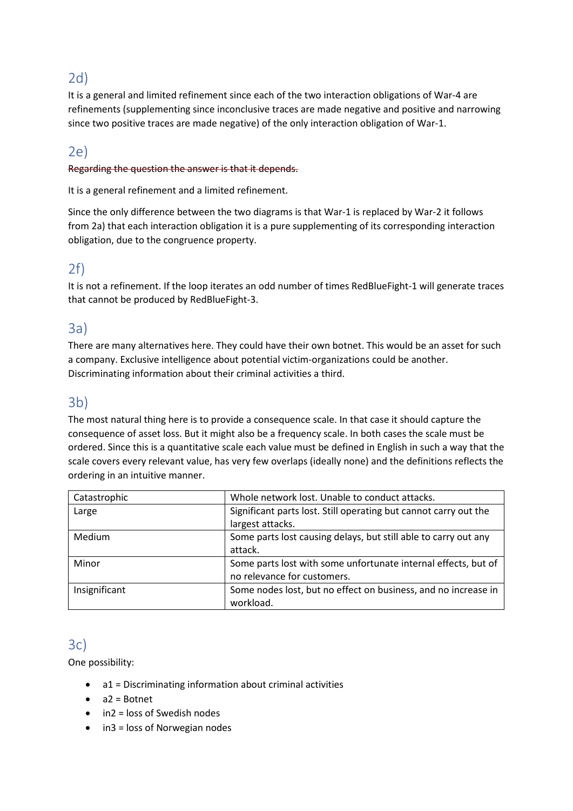## 2d)

It is a general and limited refinement since each of the two interaction obligations of War-4 are refinements (supplementing since inconclusive traces are made negative and positive and narrowing since two positive traces are made negative) of the only interaction obligation of War-1.

# 2e)

#### Regarding the question the answer is that it depends.

It is a general refinement and a limited refinement.

Since the only difference between the two diagrams is that War-1 is replaced by War-2 it follows from 2a) that each interaction obligation it is a pure supplementing of its corresponding interaction obligation, due to the congruence property.

#### 2f)

It is not a refinement. If the loop iterates an odd number of times RedBlueFight-1 will generate traces that cannot be produced by RedBlueFight-3.

#### 3a)

There are many alternatives here. They could have their own botnet. This would be an asset for such a company. Exclusive intelligence about potential victim-organizations could be another. Discriminating information about their criminal activities a third.

#### 3b)

The most natural thing here is to provide a consequence scale. In that case it should capture the consequence of asset loss. But it might also be a frequency scale. In both cases the scale must be ordered. Since this is a quantitative scale each value must be defined in English in such a way that the scale covers every relevant value, has very few overlaps (ideally none) and the definitions reflects the ordering in an intuitive manner.

| Catastrophic  | Whole network lost. Unable to conduct attacks.                   |
|---------------|------------------------------------------------------------------|
| Large         | Significant parts lost. Still operating but cannot carry out the |
|               | largest attacks.                                                 |
| <b>Medium</b> | Some parts lost causing delays, but still able to carry out any  |
|               | attack.                                                          |
| Minor         | Some parts lost with some unfortunate internal effects, but of   |
|               | no relevance for customers.                                      |
| Insignificant | Some nodes lost, but no effect on business, and no increase in   |
|               | workload.                                                        |

## 3c)

One possibility:

- a1 = Discriminating information about criminal activities
- a2 = Botnet
- in2 = loss of Swedish nodes
- in3 = loss of Norwegian nodes